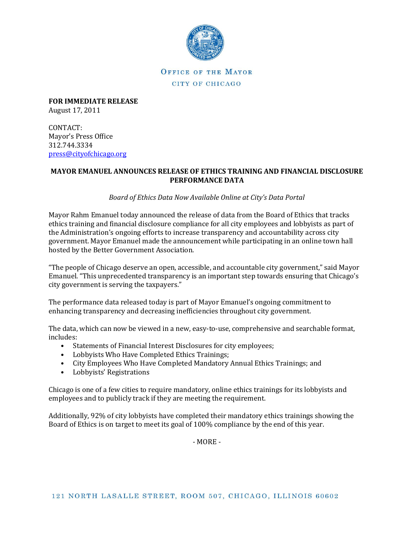

OFFICE OF THE MAYOR CITY OF CHICAGO

**FOR IMMEDIATE RELEASE** August 17, 2011

CONTACT: Mayor's Press Office 312.744.3334 [press@cityofchicago.org](mailto:press@cityofchicago.org)

### **MAYOR EMANUEL ANNOUNCES RELEASE OF ETHICS TRAINING AND FINANCIAL DISCLOSURE PERFORMANCE DATA**

*Board of Ethics Data Now Available Online at City's Data Portal*

Mayor Rahm Emanuel today announced the release of data from the Board of Ethics that tracks ethics training and financial disclosure compliance for all city employees and lobbyists as part of the Administration's ongoing efforts to increase transparency and accountability across city government. Mayor Emanuel made the announcement while participating in an online town hall hosted by the Better Government Association.

"The people of Chicago deserve an open, accessible, and accountable city government," said Mayor Emanuel. "This unprecedented transparency is an important step towards ensuring that Chicago's city government is serving the taxpayers."

The performance data released today is part of Mayor Emanuel's ongoing commitment to enhancing transparency and decreasing inefficiencies throughout city government.

The data, which can now be viewed in a new, easy-to-use, comprehensive and searchable format, includes:

- Statements of Financial Interest Disclosures for city employees;
- Lobbyists Who Have Completed Ethics Trainings;
- City Employees Who Have Completed Mandatory Annual Ethics Trainings; and
- Lobbyists' Registrations

Chicago is one of a few cities to require mandatory, online ethics trainings for its lobbyists and employees and to publicly track if they are meeting the requirement.

Additionally, 92% of city lobbyists have completed their mandatory ethics trainings showing the Board of Ethics is on target to meet its goal of 100% compliance by the end of this year.

- MORE -